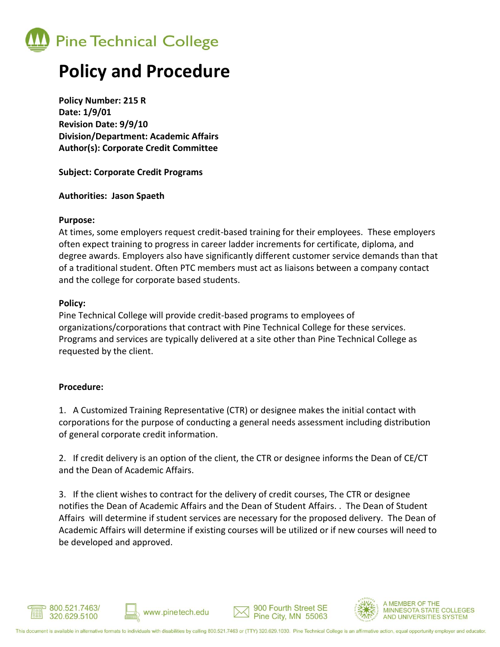

## **Policy and Procedure**

**Policy Number: 215 R Date: 1/9/01 Revision Date: 9/9/10 Division/Department: Academic Affairs Author(s): Corporate Credit Committee**

**Subject: Corporate Credit Programs**

#### **Authorities: Jason Spaeth**

#### **Purpose:**

At times, some employers request credit-based training for their employees. These employers often expect training to progress in career ladder increments for certificate, diploma, and degree awards. Employers also have significantly different customer service demands than that of a traditional student. Often PTC members must act as liaisons between a company contact and the college for corporate based students.

#### **Policy:**

Pine Technical College will provide credit-based programs to employees of organizations/corporations that contract with Pine Technical College for these services. Programs and services are typically delivered at a site other than Pine Technical College as requested by the client.

### **Procedure:**

1. A Customized Training Representative (CTR) or designee makes the initial contact with corporations for the purpose of conducting a general needs assessment including distribution of general corporate credit information.

2. If credit delivery is an option of the client, the CTR or designee informs the Dean of CE/CT and the Dean of Academic Affairs.

3. If the client wishes to contract for the delivery of credit courses, The CTR or designee notifies the Dean of Academic Affairs and the Dean of Student Affairs. . The Dean of Student Affairs will determine if student services are necessary for the proposed delivery. The Dean of Academic Affairs will determine if existing courses will be utilized or if new courses will need to be developed and approved.